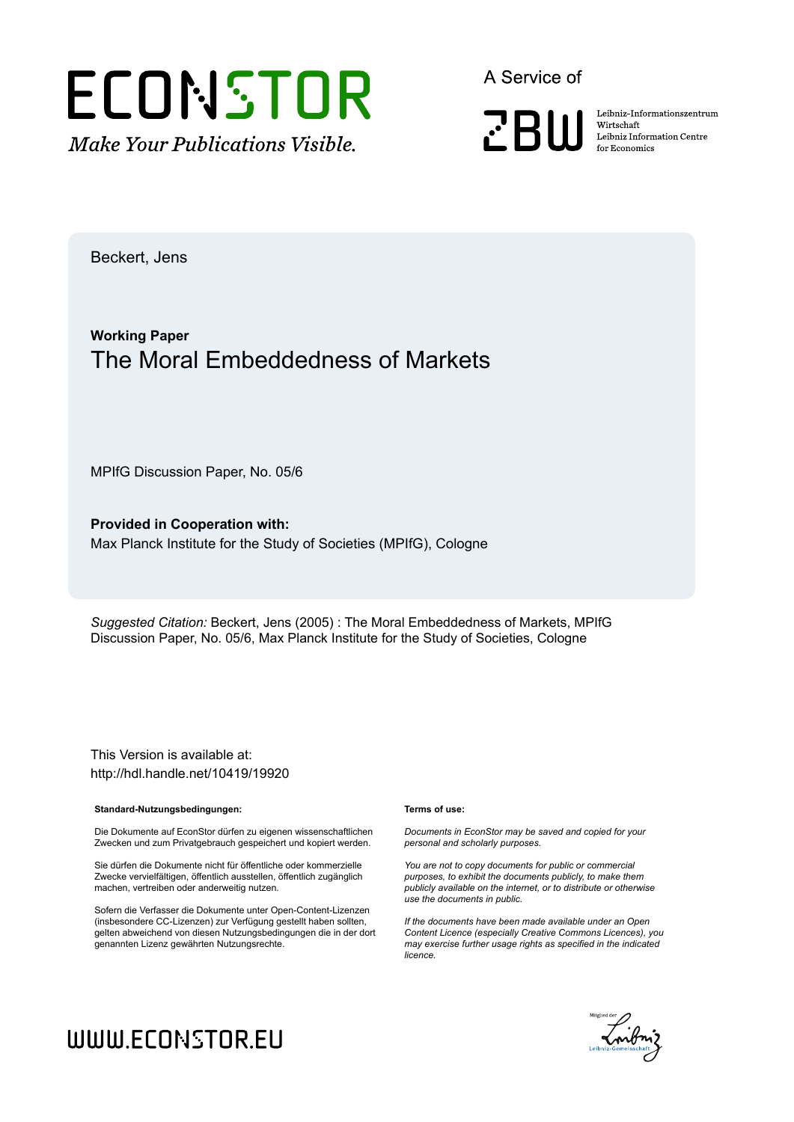

A Service of



Leibniz-Informationszentrum Wirtschaft Leibniz Information Centre for Economics

Beckert, Jens

### **Working Paper** The Moral Embeddedness of Markets

MPIfG Discussion Paper, No. 05/6

**Provided in Cooperation with:** Max Planck Institute for the Study of Societies (MPIfG), Cologne

*Suggested Citation:* Beckert, Jens (2005) : The Moral Embeddedness of Markets, MPIfG Discussion Paper, No. 05/6, Max Planck Institute for the Study of Societies, Cologne

This Version is available at: http://hdl.handle.net/10419/19920

### **Standard-Nutzungsbedingungen:**

Die Dokumente auf EconStor dürfen zu eigenen wissenschaftlichen Zwecken und zum Privatgebrauch gespeichert und kopiert werden.

Sie dürfen die Dokumente nicht für öffentliche oder kommerzielle Zwecke vervielfältigen, öffentlich ausstellen, öffentlich zugänglich machen, vertreiben oder anderweitig nutzen.

Sofern die Verfasser die Dokumente unter Open-Content-Lizenzen (insbesondere CC-Lizenzen) zur Verfügung gestellt haben sollten, gelten abweichend von diesen Nutzungsbedingungen die in der dort genannten Lizenz gewährten Nutzungsrechte.

### **Terms of use:**

*Documents in EconStor may be saved and copied for your personal and scholarly purposes.*

*You are not to copy documents for public or commercial purposes, to exhibit the documents publicly, to make them publicly available on the internet, or to distribute or otherwise use the documents in public.*

*If the documents have been made available under an Open Content Licence (especially Creative Commons Licences), you may exercise further usage rights as specified in the indicated licence.*



## WWW.ECONSTOR.EU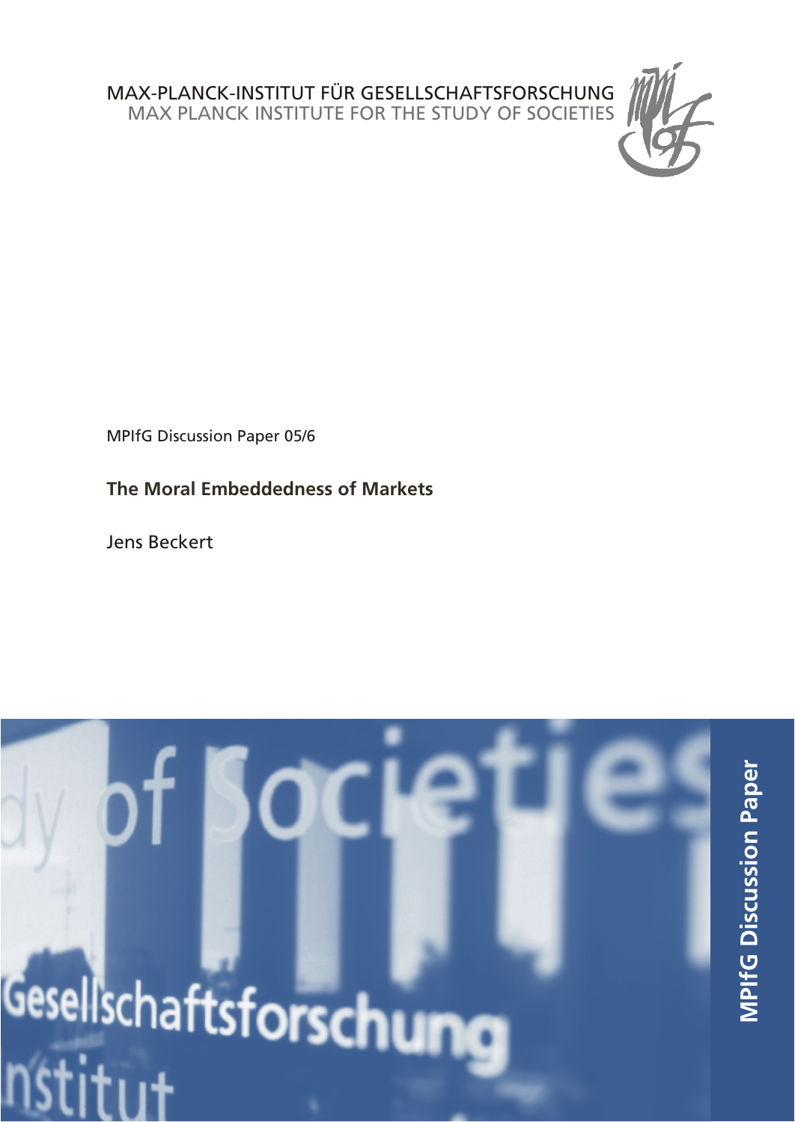# MAX-PLANCK-INSTITUT FÜR GESELLSCHAFTSFORSCHUNG MAX PLANCK INSTITUTE FOR THE STUDY OF SOCIETIES

MPIfG Discussion Paper 05/6

**The Moral Embeddedness of Markets**

Jens Beckert

# Gesellschaftsforschung

**Σ** 

**PIf G**

**Dis cu**

**ssio**

**nPaper**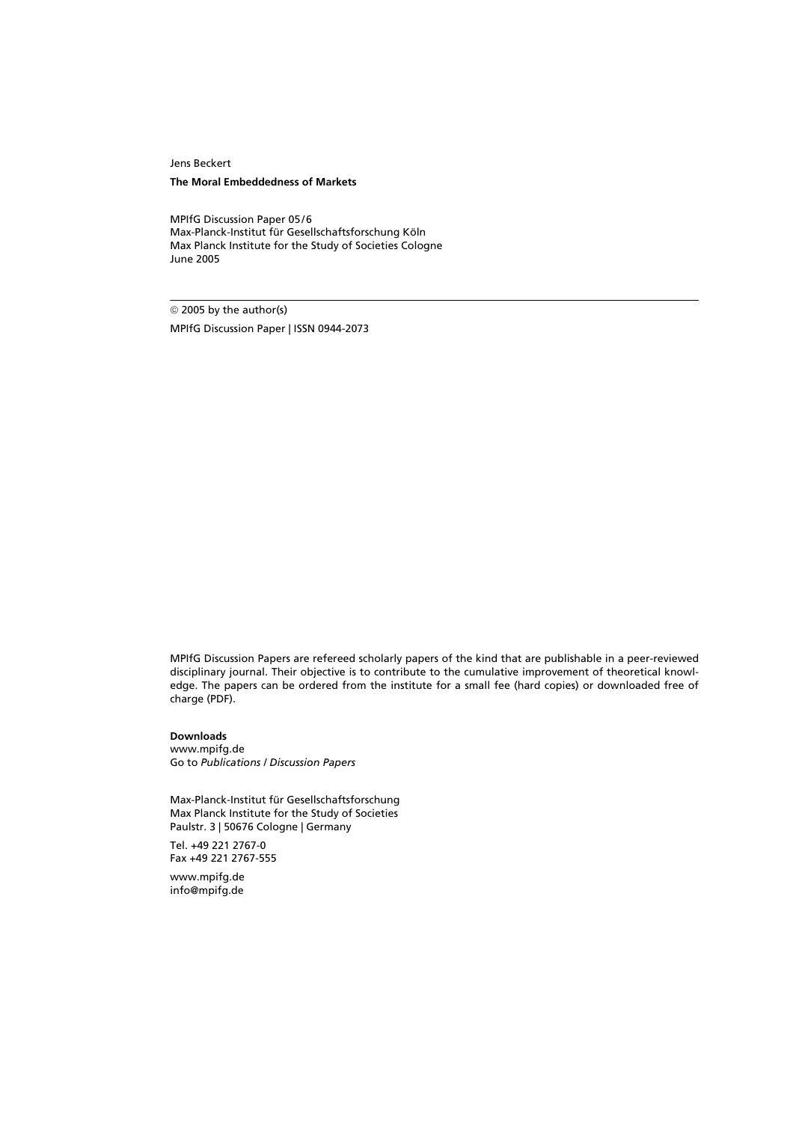Jens Beckert

### **The Moral Embeddedness of Markets**

MPIfG Discussion Paper 05/6 Max-Planck-Institut für Gesellschaftsforschung Köln Max Planck Institute for the Study of Societies Cologne June 2005

© 2005 by the author(s) MPIfG Discussion Paper | ISSN 0944-2073

MPIfG Discussion Papers are refereed scholarly papers of the kind that are publishable in a peer-reviewed disciplinary journal. Their objective is to contribute to the cumulative improvement of theoretical knowledge. The papers can be ordered from the institute for a small fee (hard copies) or downloaded free of charge (PDF).

### **Downloads**

www.mpifg.de Go to *Publications / Discussion Papers*

Max-Planck-Institut für Gesellschaftsforschung Max Planck Institute for the Study of Societies Paulstr. 3 | 50676 Cologne | Germany

Tel. +49 221 2767-0 Fax +49 221 2767-555

www.mpifg.de info@mpifg.de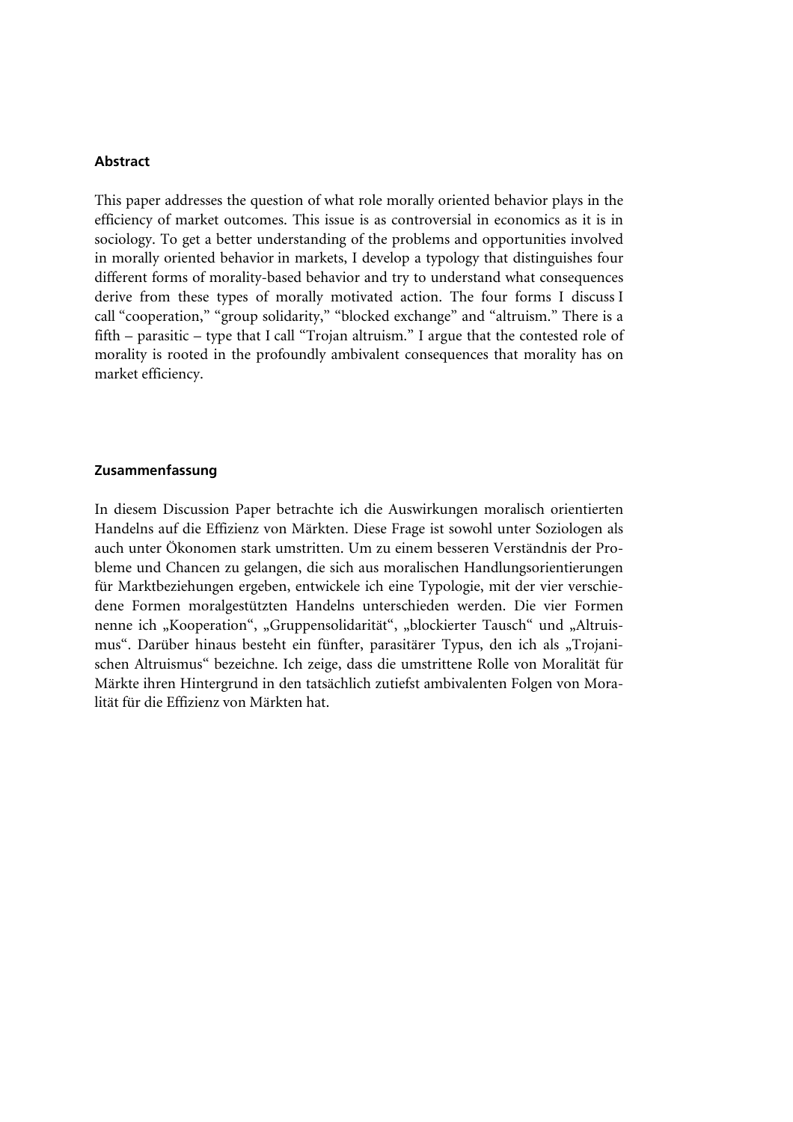### **Abstract**

This paper addresses the question of what role morally oriented behavior plays in the efficiency of market outcomes. This issue is as controversial in economics as it is in sociology. To get a better understanding of the problems and opportunities involved in morally oriented behavior in markets, I develop a typology that distinguishes four different forms of morality-based behavior and try to understand what consequences derive from these types of morally motivated action. The four forms I discuss I call "cooperation," "group solidarity," "blocked exchange" and "altruism." There is a fifth – parasitic – type that I call "Trojan altruism." I argue that the contested role of morality is rooted in the profoundly ambivalent consequences that morality has on market efficiency.

### **Zusammenfassung**

In diesem Discussion Paper betrachte ich die Auswirkungen moralisch orientierten Handelns auf die Effizienz von Märkten. Diese Frage ist sowohl unter Soziologen als auch unter Ökonomen stark umstritten. Um zu einem besseren Verständnis der Probleme und Chancen zu gelangen, die sich aus moralischen Handlungsorientierungen für Marktbeziehungen ergeben, entwickele ich eine Typologie, mit der vier verschiedene Formen moralgestützten Handelns unterschieden werden. Die vier Formen nenne ich "Kooperation", "Gruppensolidarität", "blockierter Tausch" und "Altruismus". Darüber hinaus besteht ein fünfter, parasitärer Typus, den ich als "Trojanischen Altruismus" bezeichne. Ich zeige, dass die umstrittene Rolle von Moralität für Märkte ihren Hintergrund in den tatsächlich zutiefst ambivalenten Folgen von Moralität für die Effizienz von Märkten hat.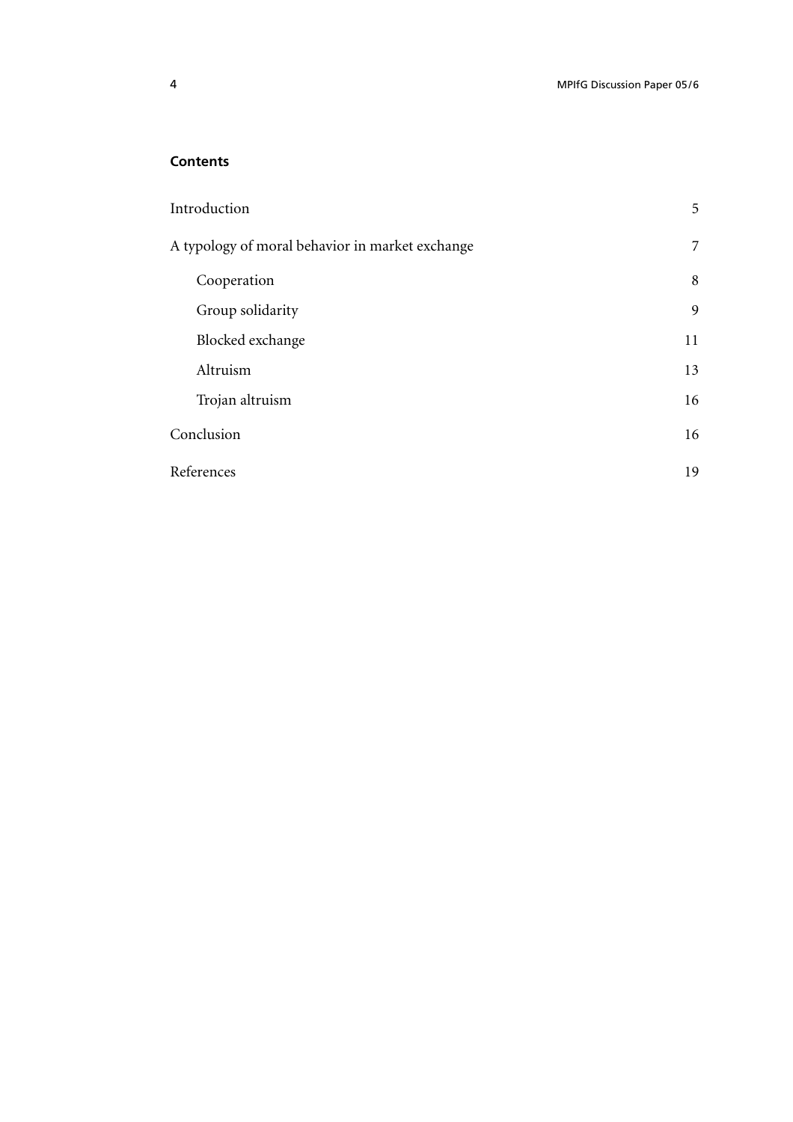### **Contents**

| Introduction                                    | 5  |
|-------------------------------------------------|----|
| A typology of moral behavior in market exchange | 7  |
| Cooperation                                     | 8  |
| Group solidarity                                | 9  |
| Blocked exchange                                | 11 |
| Altruism                                        | 13 |
| Trojan altruism                                 | 16 |
| Conclusion                                      | 16 |
| References                                      | 19 |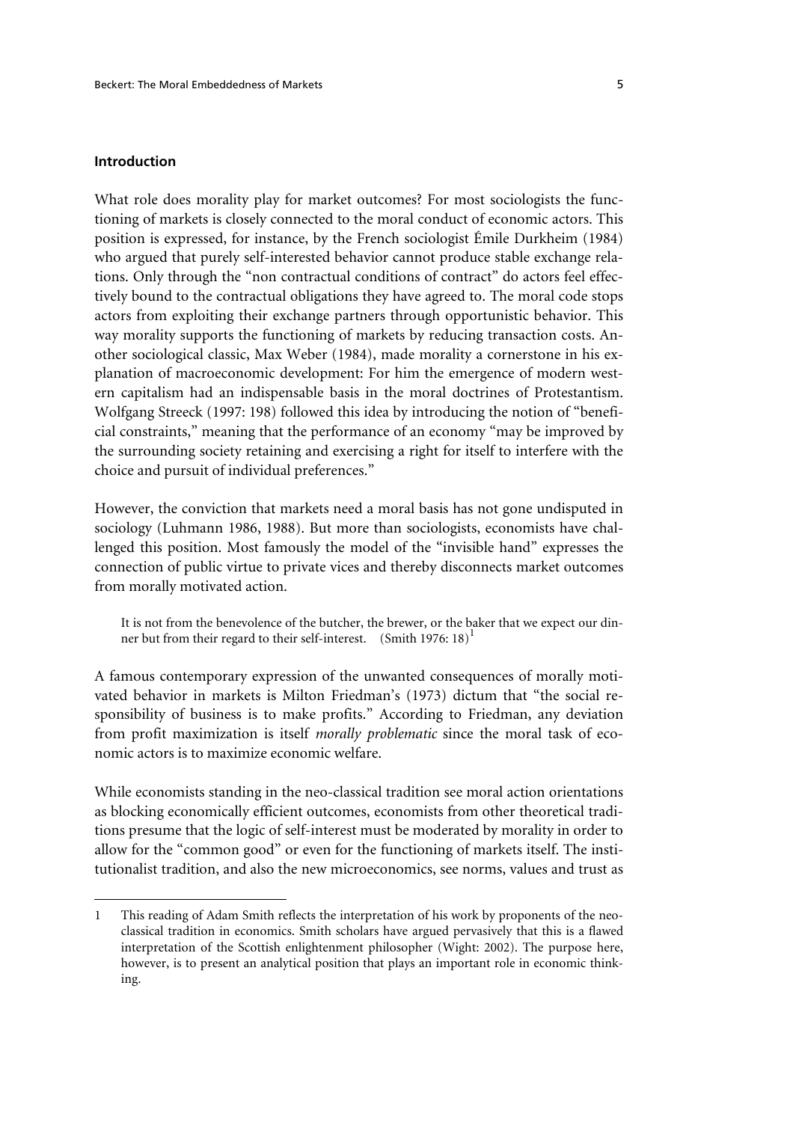### **Introduction**

<sup>-</sup>

What role does morality play for market outcomes? For most sociologists the functioning of markets is closely connected to the moral conduct of economic actors. This position is expressed, for instance, by the French sociologist Émile Durkheim (1984) who argued that purely self-interested behavior cannot produce stable exchange relations. Only through the "non contractual conditions of contract" do actors feel effectively bound to the contractual obligations they have agreed to. The moral code stops actors from exploiting their exchange partners through opportunistic behavior. This way morality supports the functioning of markets by reducing transaction costs. Another sociological classic, Max Weber (1984), made morality a cornerstone in his explanation of macroeconomic development: For him the emergence of modern western capitalism had an indispensable basis in the moral doctrines of Protestantism. Wolfgang Streeck (1997: 198) followed this idea by introducing the notion of "beneficial constraints," meaning that the performance of an economy "may be improved by the surrounding society retaining and exercising a right for itself to interfere with the choice and pursuit of individual preferences."

However, the conviction that markets need a moral basis has not gone undisputed in sociology (Luhmann 1986, 1988). But more than sociologists, economists have challenged this position. Most famously the model of the "invisible hand" expresses the connection of public virtue to private vices and thereby disconnects market outcomes from morally motivated action.

It is not from the benevolence of the butcher, the brewer, or the baker that we expect our dinner but from their regard to their self-interest.  $\left($ Smith 1976: 18 $\right)^{1}$ 

A famous contemporary expression of the unwanted consequences of morally motivated behavior in markets is Milton Friedman's (1973) dictum that "the social responsibility of business is to make profits." According to Friedman, any deviation from profit maximization is itself *morally problematic* since the moral task of economic actors is to maximize economic welfare.

While economists standing in the neo-classical tradition see moral action orientations as blocking economically efficient outcomes, economists from other theoretical traditions presume that the logic of self-interest must be moderated by morality in order to allow for the "common good" or even for the functioning of markets itself. The institutionalist tradition, and also the new microeconomics, see norms, values and trust as

<sup>1</sup> This reading of Adam Smith reflects the interpretation of his work by proponents of the neoclassical tradition in economics. Smith scholars have argued pervasively that this is a flawed interpretation of the Scottish enlightenment philosopher (Wight: 2002). The purpose here, however, is to present an analytical position that plays an important role in economic thinking.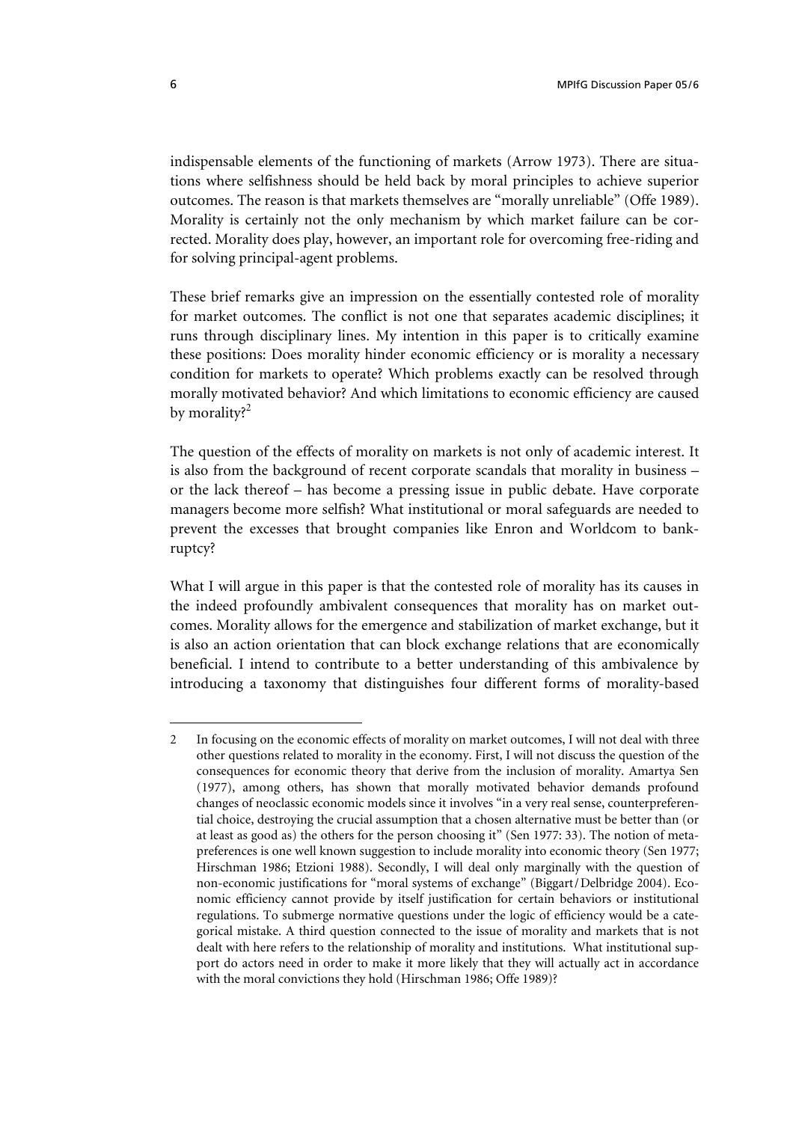indispensable elements of the functioning of markets (Arrow 1973). There are situations where selfishness should be held back by moral principles to achieve superior outcomes. The reason is that markets themselves are "morally unreliable" (Offe 1989). Morality is certainly not the only mechanism by which market failure can be corrected. Morality does play, however, an important role for overcoming free-riding and for solving principal-agent problems.

These brief remarks give an impression on the essentially contested role of morality for market outcomes. The conflict is not one that separates academic disciplines; it runs through disciplinary lines. My intention in this paper is to critically examine these positions: Does morality hinder economic efficiency or is morality a necessary condition for markets to operate? Which problems exactly can be resolved through morally motivated behavior? And which limitations to economic efficiency are caused by morality?<sup>2</sup>

The question of the effects of morality on markets is not only of academic interest. It is also from the background of recent corporate scandals that morality in business – or the lack thereof – has become a pressing issue in public debate. Have corporate managers become more selfish? What institutional or moral safeguards are needed to prevent the excesses that brought companies like Enron and Worldcom to bankruptcy?

What I will argue in this paper is that the contested role of morality has its causes in the indeed profoundly ambivalent consequences that morality has on market outcomes. Morality allows for the emergence and stabilization of market exchange, but it is also an action orientation that can block exchange relations that are economically beneficial. I intend to contribute to a better understanding of this ambivalence by introducing a taxonomy that distinguishes four different forms of morality-based

<sup>-</sup>

<sup>2</sup> In focusing on the economic effects of morality on market outcomes, I will not deal with three other questions related to morality in the economy. First, I will not discuss the question of the consequences for economic theory that derive from the inclusion of morality. Amartya Sen (1977), among others, has shown that morally motivated behavior demands profound changes of neoclassic economic models since it involves "in a very real sense, counterpreferential choice, destroying the crucial assumption that a chosen alternative must be better than (or at least as good as) the others for the person choosing it" (Sen 1977: 33). The notion of metapreferences is one well known suggestion to include morality into economic theory (Sen 1977; Hirschman 1986; Etzioni 1988). Secondly, I will deal only marginally with the question of non-economic justifications for "moral systems of exchange" (Biggart/Delbridge 2004). Economic efficiency cannot provide by itself justification for certain behaviors or institutional regulations. To submerge normative questions under the logic of efficiency would be a categorical mistake. A third question connected to the issue of morality and markets that is not dealt with here refers to the relationship of morality and institutions. What institutional support do actors need in order to make it more likely that they will actually act in accordance with the moral convictions they hold (Hirschman 1986; Offe 1989)?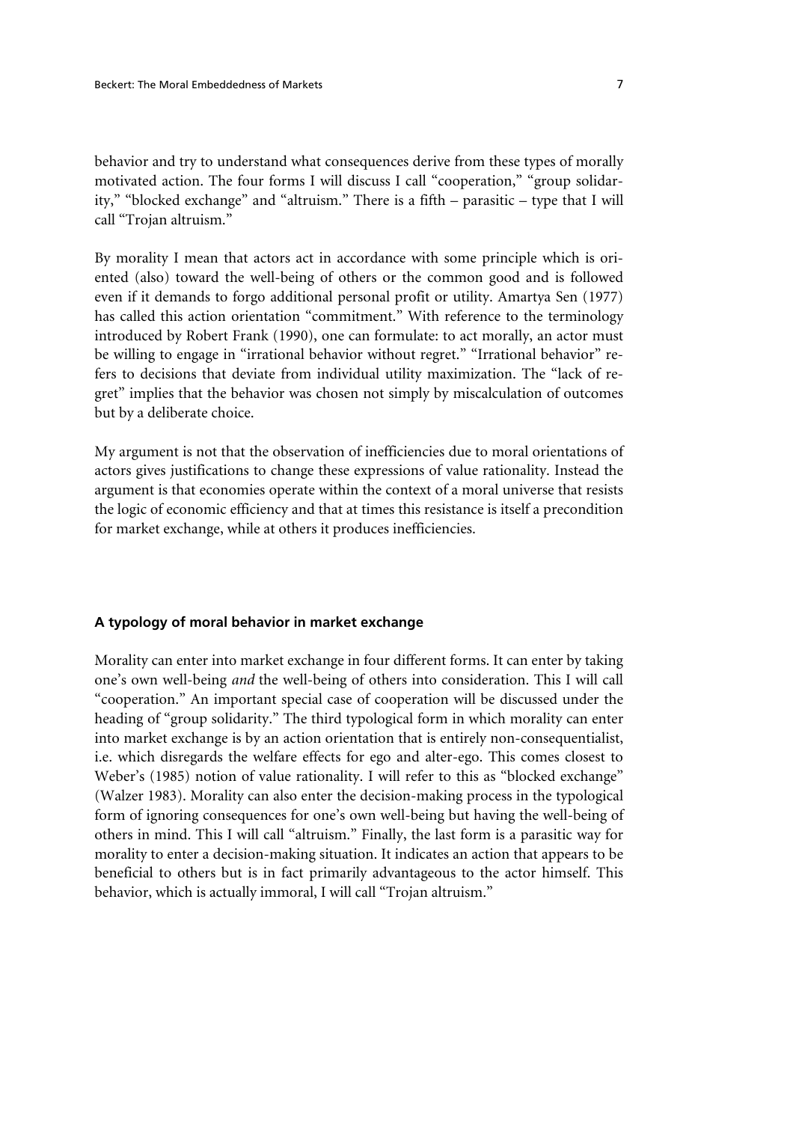behavior and try to understand what consequences derive from these types of morally motivated action. The four forms I will discuss I call "cooperation," "group solidarity," "blocked exchange" and "altruism." There is a fifth – parasitic – type that I will call "Trojan altruism."

By morality I mean that actors act in accordance with some principle which is oriented (also) toward the well-being of others or the common good and is followed even if it demands to forgo additional personal profit or utility. Amartya Sen (1977) has called this action orientation "commitment." With reference to the terminology introduced by Robert Frank (1990), one can formulate: to act morally, an actor must be willing to engage in "irrational behavior without regret." "Irrational behavior" refers to decisions that deviate from individual utility maximization. The "lack of regret" implies that the behavior was chosen not simply by miscalculation of outcomes but by a deliberate choice.

My argument is not that the observation of inefficiencies due to moral orientations of actors gives justifications to change these expressions of value rationality. Instead the argument is that economies operate within the context of a moral universe that resists the logic of economic efficiency and that at times this resistance is itself a precondition for market exchange, while at others it produces inefficiencies.

### **A typology of moral behavior in market exchange**

Morality can enter into market exchange in four different forms. It can enter by taking one's own well-being *and* the well-being of others into consideration. This I will call "cooperation." An important special case of cooperation will be discussed under the heading of "group solidarity." The third typological form in which morality can enter into market exchange is by an action orientation that is entirely non-consequentialist, i.e. which disregards the welfare effects for ego and alter-ego. This comes closest to Weber's (1985) notion of value rationality. I will refer to this as "blocked exchange" (Walzer 1983). Morality can also enter the decision-making process in the typological form of ignoring consequences for one's own well-being but having the well-being of others in mind. This I will call "altruism." Finally, the last form is a parasitic way for morality to enter a decision-making situation. It indicates an action that appears to be beneficial to others but is in fact primarily advantageous to the actor himself. This behavior, which is actually immoral, I will call "Trojan altruism."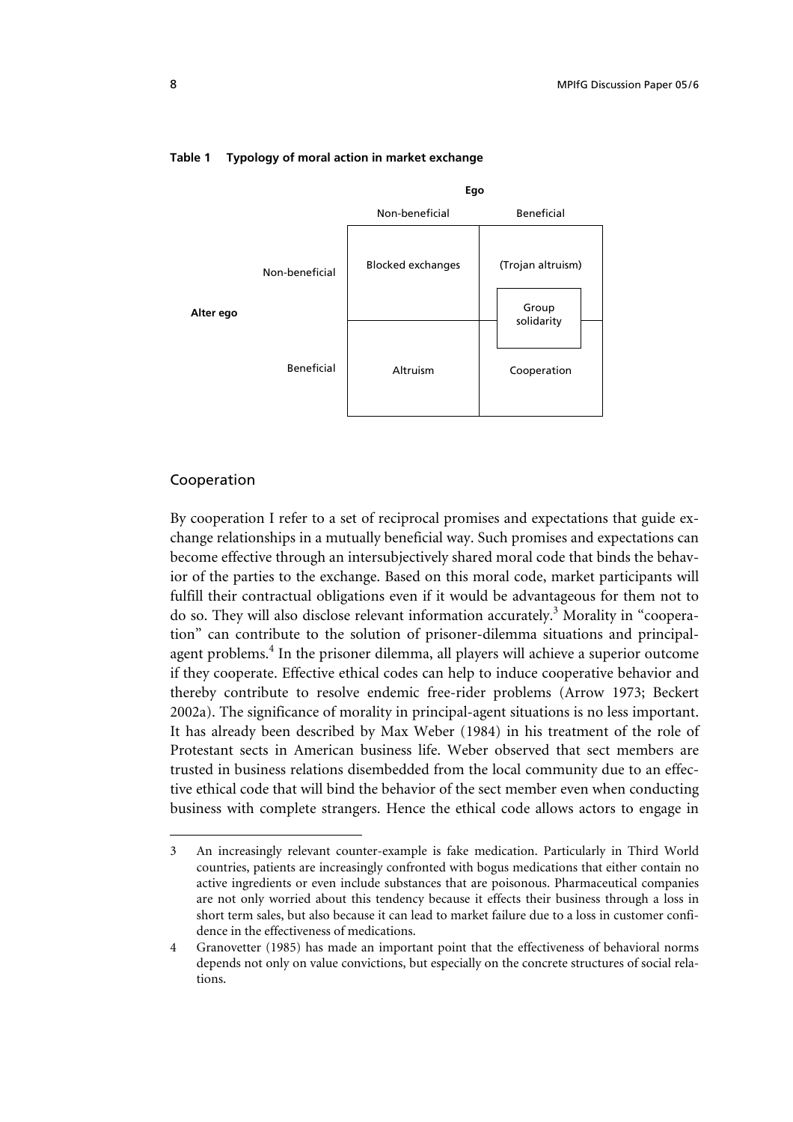

### **Table 1 Typology of moral action in market exchange**

### Cooperation

<sup>-</sup>

By cooperation I refer to a set of reciprocal promises and expectations that guide exchange relationships in a mutually beneficial way. Such promises and expectations can become effective through an intersubjectively shared moral code that binds the behavior of the parties to the exchange. Based on this moral code, market participants will fulfill their contractual obligations even if it would be advantageous for them not to do so. They will also disclose relevant information accurately.<sup>3</sup> Morality in "cooperation" can contribute to the solution of prisoner-dilemma situations and principalagent problems. $^4$  In the prisoner dilemma, all players will achieve a superior outcome if they cooperate. Effective ethical codes can help to induce cooperative behavior and thereby contribute to resolve endemic free-rider problems (Arrow 1973; Beckert 2002a). The significance of morality in principal-agent situations is no less important. It has already been described by Max Weber (1984) in his treatment of the role of Protestant sects in American business life. Weber observed that sect members are trusted in business relations disembedded from the local community due to an effective ethical code that will bind the behavior of the sect member even when conducting business with complete strangers. Hence the ethical code allows actors to engage in

<sup>3</sup> An increasingly relevant counter-example is fake medication. Particularly in Third World countries, patients are increasingly confronted with bogus medications that either contain no active ingredients or even include substances that are poisonous. Pharmaceutical companies are not only worried about this tendency because it effects their business through a loss in short term sales, but also because it can lead to market failure due to a loss in customer confidence in the effectiveness of medications.

<sup>4</sup> Granovetter (1985) has made an important point that the effectiveness of behavioral norms depends not only on value convictions, but especially on the concrete structures of social relations.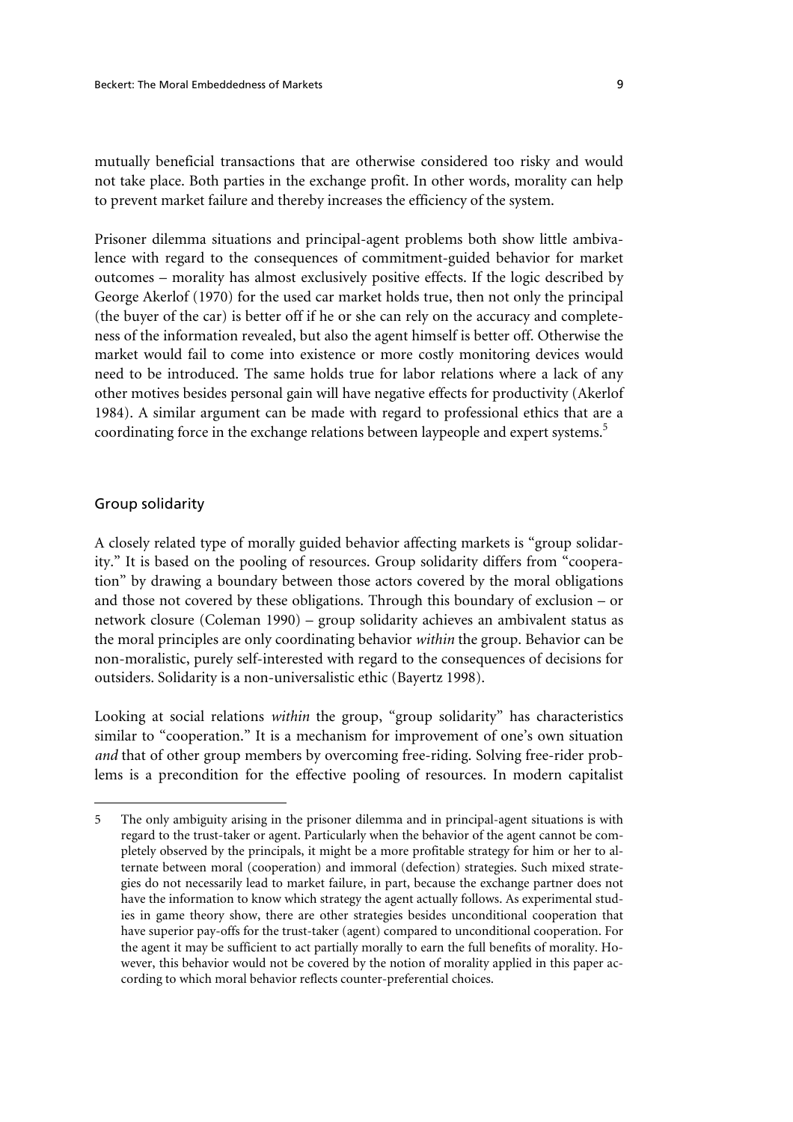mutually beneficial transactions that are otherwise considered too risky and would not take place. Both parties in the exchange profit. In other words, morality can help to prevent market failure and thereby increases the efficiency of the system.

Prisoner dilemma situations and principal-agent problems both show little ambivalence with regard to the consequences of commitment-guided behavior for market outcomes – morality has almost exclusively positive effects. If the logic described by George Akerlof (1970) for the used car market holds true, then not only the principal (the buyer of the car) is better off if he or she can rely on the accuracy and completeness of the information revealed, but also the agent himself is better off. Otherwise the market would fail to come into existence or more costly monitoring devices would need to be introduced. The same holds true for labor relations where a lack of any other motives besides personal gain will have negative effects for productivity (Akerlof 1984). A similar argument can be made with regard to professional ethics that are a coordinating force in the exchange relations between laypeople and expert systems.<sup>5</sup>

### Group solidarity

<sup>-</sup>

A closely related type of morally guided behavior affecting markets is "group solidarity." It is based on the pooling of resources. Group solidarity differs from "cooperation" by drawing a boundary between those actors covered by the moral obligations and those not covered by these obligations. Through this boundary of exclusion – or network closure (Coleman 1990) – group solidarity achieves an ambivalent status as the moral principles are only coordinating behavior *within* the group. Behavior can be non-moralistic, purely self-interested with regard to the consequences of decisions for outsiders. Solidarity is a non-universalistic ethic (Bayertz 1998).

Looking at social relations *within* the group, "group solidarity" has characteristics similar to "cooperation." It is a mechanism for improvement of one's own situation *and* that of other group members by overcoming free-riding. Solving free-rider problems is a precondition for the effective pooling of resources. In modern capitalist

<sup>5</sup> The only ambiguity arising in the prisoner dilemma and in principal-agent situations is with regard to the trust-taker or agent. Particularly when the behavior of the agent cannot be completely observed by the principals, it might be a more profitable strategy for him or her to alternate between moral (cooperation) and immoral (defection) strategies. Such mixed strategies do not necessarily lead to market failure, in part, because the exchange partner does not have the information to know which strategy the agent actually follows. As experimental studies in game theory show, there are other strategies besides unconditional cooperation that have superior pay-offs for the trust-taker (agent) compared to unconditional cooperation. For the agent it may be sufficient to act partially morally to earn the full benefits of morality. However, this behavior would not be covered by the notion of morality applied in this paper according to which moral behavior reflects counter-preferential choices.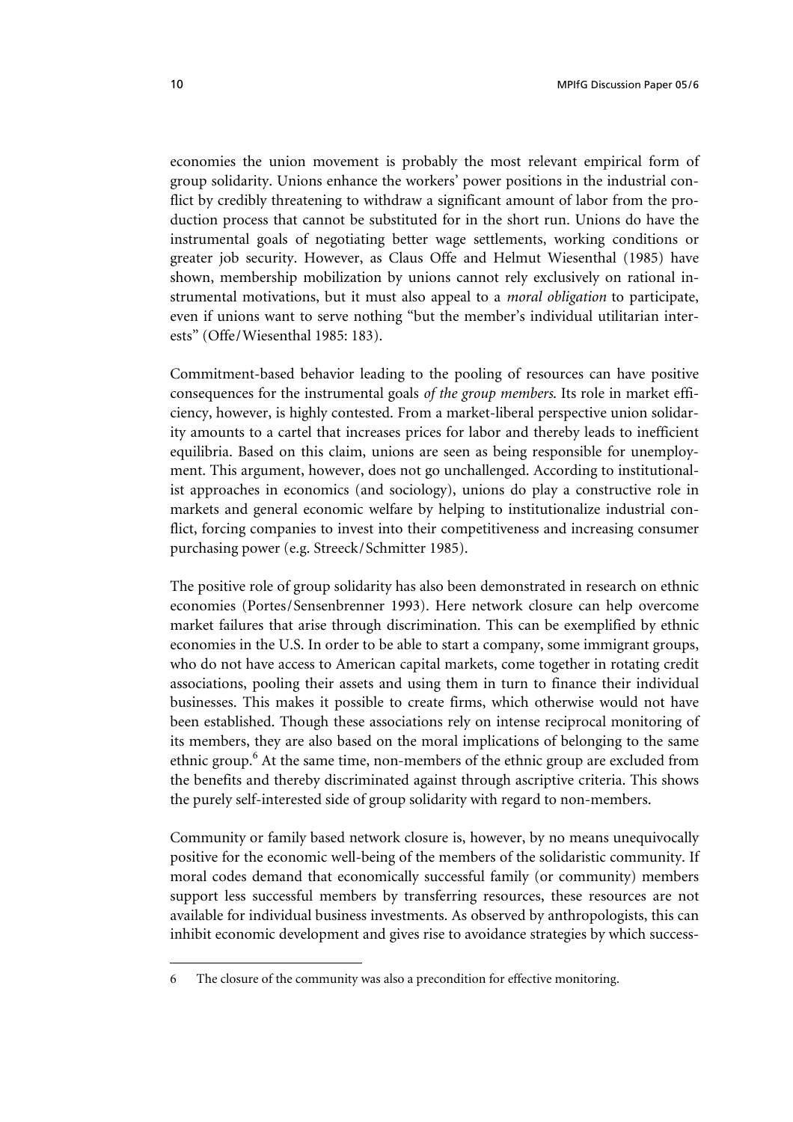economies the union movement is probably the most relevant empirical form of group solidarity. Unions enhance the workers' power positions in the industrial conflict by credibly threatening to withdraw a significant amount of labor from the production process that cannot be substituted for in the short run. Unions do have the instrumental goals of negotiating better wage settlements, working conditions or greater job security. However, as Claus Offe and Helmut Wiesenthal (1985) have shown, membership mobilization by unions cannot rely exclusively on rational instrumental motivations, but it must also appeal to a *moral obligation* to participate, even if unions want to serve nothing "but the member's individual utilitarian interests" (Offe/Wiesenthal 1985: 183).

Commitment-based behavior leading to the pooling of resources can have positive consequences for the instrumental goals *of the group members*. Its role in market efficiency, however, is highly contested. From a market-liberal perspective union solidarity amounts to a cartel that increases prices for labor and thereby leads to inefficient equilibria. Based on this claim, unions are seen as being responsible for unemployment. This argument, however, does not go unchallenged. According to institutionalist approaches in economics (and sociology), unions do play a constructive role in markets and general economic welfare by helping to institutionalize industrial conflict, forcing companies to invest into their competitiveness and increasing consumer purchasing power (e.g. Streeck/Schmitter 1985).

The positive role of group solidarity has also been demonstrated in research on ethnic economies (Portes/Sensenbrenner 1993). Here network closure can help overcome market failures that arise through discrimination. This can be exemplified by ethnic economies in the U.S. In order to be able to start a company, some immigrant groups, who do not have access to American capital markets, come together in rotating credit associations, pooling their assets and using them in turn to finance their individual businesses. This makes it possible to create firms, which otherwise would not have been established. Though these associations rely on intense reciprocal monitoring of its members, they are also based on the moral implications of belonging to the same ethnic group.<sup>6</sup> At the same time, non-members of the ethnic group are excluded from the benefits and thereby discriminated against through ascriptive criteria. This shows the purely self-interested side of group solidarity with regard to non-members.

Community or family based network closure is, however, by no means unequivocally positive for the economic well-being of the members of the solidaristic community. If moral codes demand that economically successful family (or community) members support less successful members by transferring resources, these resources are not available for individual business investments. As observed by anthropologists, this can inhibit economic development and gives rise to avoidance strategies by which success-

<sup>-</sup>

<sup>6</sup> The closure of the community was also a precondition for effective monitoring.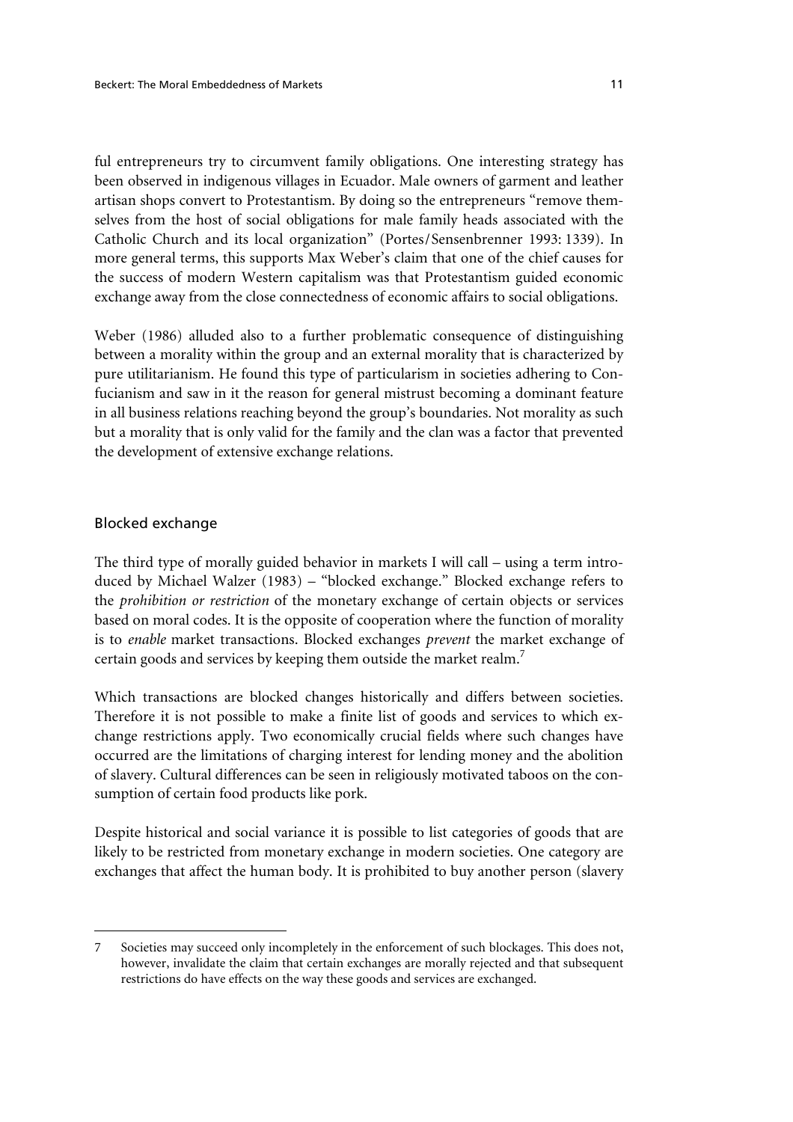ful entrepreneurs try to circumvent family obligations. One interesting strategy has been observed in indigenous villages in Ecuador. Male owners of garment and leather artisan shops convert to Protestantism. By doing so the entrepreneurs "remove themselves from the host of social obligations for male family heads associated with the Catholic Church and its local organization" (Portes/Sensenbrenner 1993: 1339). In more general terms, this supports Max Weber's claim that one of the chief causes for the success of modern Western capitalism was that Protestantism guided economic exchange away from the close connectedness of economic affairs to social obligations.

Weber (1986) alluded also to a further problematic consequence of distinguishing between a morality within the group and an external morality that is characterized by pure utilitarianism. He found this type of particularism in societies adhering to Confucianism and saw in it the reason for general mistrust becoming a dominant feature in all business relations reaching beyond the group's boundaries. Not morality as such but a morality that is only valid for the family and the clan was a factor that prevented the development of extensive exchange relations.

### Blocked exchange

<sup>-</sup>

The third type of morally guided behavior in markets I will call – using a term introduced by Michael Walzer (1983) – "blocked exchange." Blocked exchange refers to the *prohibition or restriction* of the monetary exchange of certain objects or services based on moral codes. It is the opposite of cooperation where the function of morality is to *enable* market transactions. Blocked exchanges *prevent* the market exchange of certain goods and services by keeping them outside the market realm.<sup>7</sup>

Which transactions are blocked changes historically and differs between societies. Therefore it is not possible to make a finite list of goods and services to which exchange restrictions apply. Two economically crucial fields where such changes have occurred are the limitations of charging interest for lending money and the abolition of slavery. Cultural differences can be seen in religiously motivated taboos on the consumption of certain food products like pork.

Despite historical and social variance it is possible to list categories of goods that are likely to be restricted from monetary exchange in modern societies. One category are exchanges that affect the human body. It is prohibited to buy another person (slavery

<sup>7</sup> Societies may succeed only incompletely in the enforcement of such blockages. This does not, however, invalidate the claim that certain exchanges are morally rejected and that subsequent restrictions do have effects on the way these goods and services are exchanged.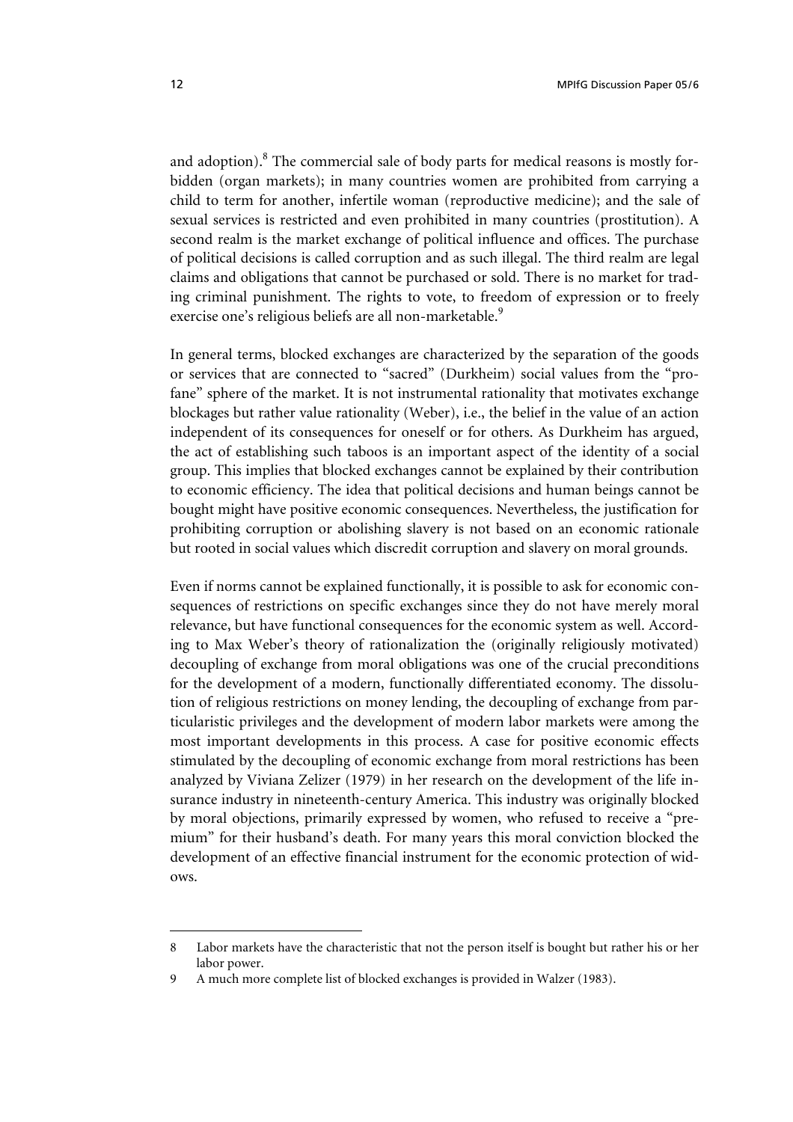and adoption).<sup>8</sup> The commercial sale of body parts for medical reasons is mostly forbidden (organ markets); in many countries women are prohibited from carrying a child to term for another, infertile woman (reproductive medicine); and the sale of sexual services is restricted and even prohibited in many countries (prostitution). A second realm is the market exchange of political influence and offices. The purchase of political decisions is called corruption and as such illegal. The third realm are legal claims and obligations that cannot be purchased or sold. There is no market for trading criminal punishment. The rights to vote, to freedom of expression or to freely exercise one's religious beliefs are all non-marketable.<sup>9</sup>

In general terms, blocked exchanges are characterized by the separation of the goods or services that are connected to "sacred" (Durkheim) social values from the "profane" sphere of the market. It is not instrumental rationality that motivates exchange blockages but rather value rationality (Weber), i.e., the belief in the value of an action independent of its consequences for oneself or for others. As Durkheim has argued, the act of establishing such taboos is an important aspect of the identity of a social group. This implies that blocked exchanges cannot be explained by their contribution to economic efficiency. The idea that political decisions and human beings cannot be bought might have positive economic consequences. Nevertheless, the justification for prohibiting corruption or abolishing slavery is not based on an economic rationale but rooted in social values which discredit corruption and slavery on moral grounds.

Even if norms cannot be explained functionally, it is possible to ask for economic consequences of restrictions on specific exchanges since they do not have merely moral relevance, but have functional consequences for the economic system as well. According to Max Weber's theory of rationalization the (originally religiously motivated) decoupling of exchange from moral obligations was one of the crucial preconditions for the development of a modern, functionally differentiated economy. The dissolution of religious restrictions on money lending, the decoupling of exchange from particularistic privileges and the development of modern labor markets were among the most important developments in this process. A case for positive economic effects stimulated by the decoupling of economic exchange from moral restrictions has been analyzed by Viviana Zelizer (1979) in her research on the development of the life insurance industry in nineteenth-century America. This industry was originally blocked by moral objections, primarily expressed by women, who refused to receive a "premium" for their husband's death. For many years this moral conviction blocked the development of an effective financial instrument for the economic protection of widows.

<sup>-</sup>

<sup>8</sup> Labor markets have the characteristic that not the person itself is bought but rather his or her labor power.

<sup>9</sup> A much more complete list of blocked exchanges is provided in Walzer (1983).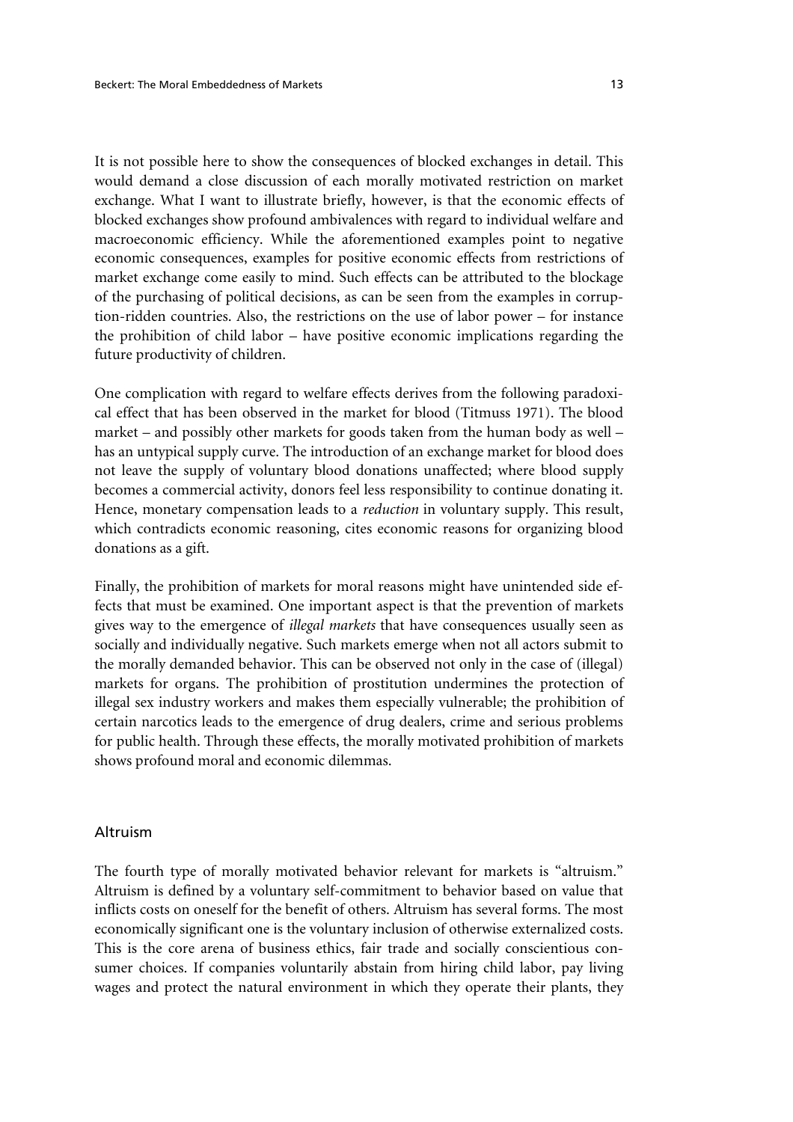It is not possible here to show the consequences of blocked exchanges in detail. This would demand a close discussion of each morally motivated restriction on market exchange. What I want to illustrate briefly, however, is that the economic effects of blocked exchanges show profound ambivalences with regard to individual welfare and macroeconomic efficiency. While the aforementioned examples point to negative economic consequences, examples for positive economic effects from restrictions of market exchange come easily to mind. Such effects can be attributed to the blockage of the purchasing of political decisions, as can be seen from the examples in corruption-ridden countries. Also, the restrictions on the use of labor power – for instance the prohibition of child labor – have positive economic implications regarding the future productivity of children.

One complication with regard to welfare effects derives from the following paradoxical effect that has been observed in the market for blood (Titmuss 1971). The blood market – and possibly other markets for goods taken from the human body as well – has an untypical supply curve. The introduction of an exchange market for blood does not leave the supply of voluntary blood donations unaffected; where blood supply becomes a commercial activity, donors feel less responsibility to continue donating it. Hence, monetary compensation leads to a *reduction* in voluntary supply. This result, which contradicts economic reasoning, cites economic reasons for organizing blood donations as a gift.

Finally, the prohibition of markets for moral reasons might have unintended side effects that must be examined. One important aspect is that the prevention of markets gives way to the emergence of *illegal markets* that have consequences usually seen as socially and individually negative. Such markets emerge when not all actors submit to the morally demanded behavior. This can be observed not only in the case of (illegal) markets for organs. The prohibition of prostitution undermines the protection of illegal sex industry workers and makes them especially vulnerable; the prohibition of certain narcotics leads to the emergence of drug dealers, crime and serious problems for public health. Through these effects, the morally motivated prohibition of markets shows profound moral and economic dilemmas.

### Altruism

The fourth type of morally motivated behavior relevant for markets is "altruism." Altruism is defined by a voluntary self-commitment to behavior based on value that inflicts costs on oneself for the benefit of others. Altruism has several forms. The most economically significant one is the voluntary inclusion of otherwise externalized costs. This is the core arena of business ethics, fair trade and socially conscientious consumer choices. If companies voluntarily abstain from hiring child labor, pay living wages and protect the natural environment in which they operate their plants, they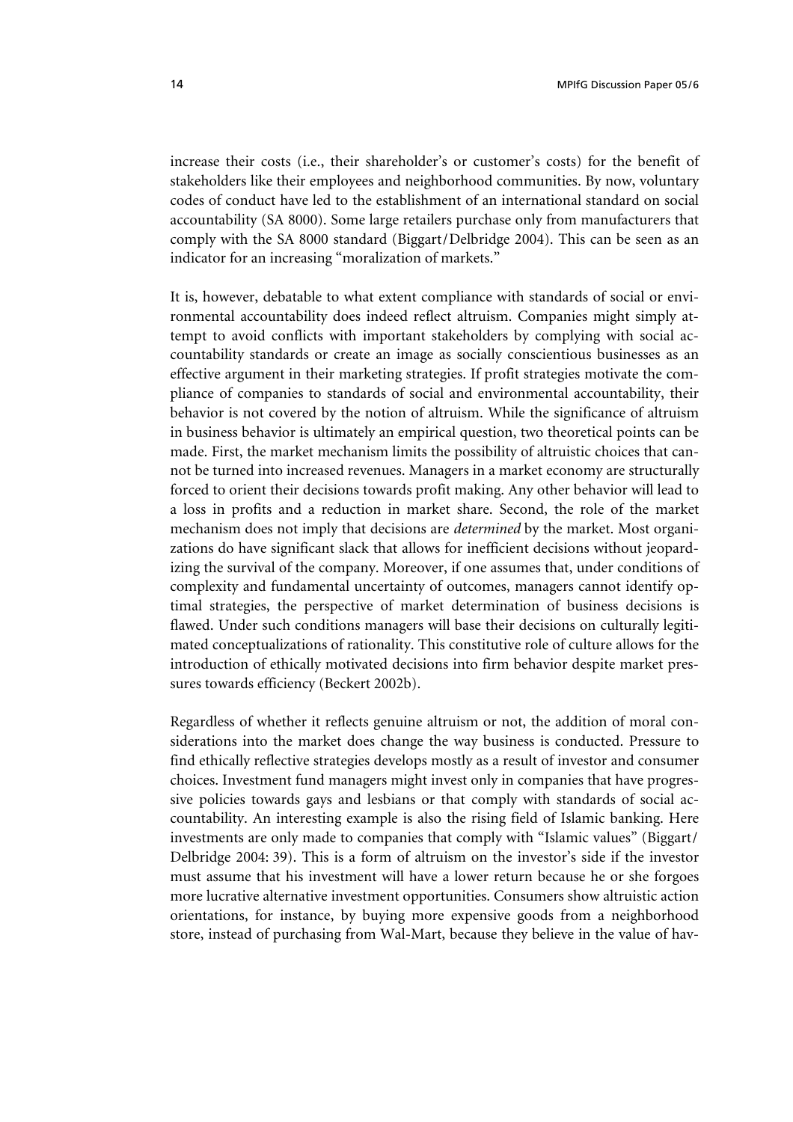increase their costs (i.e., their shareholder's or customer's costs) for the benefit of stakeholders like their employees and neighborhood communities. By now, voluntary codes of conduct have led to the establishment of an international standard on social accountability (SA 8000). Some large retailers purchase only from manufacturers that comply with the SA 8000 standard (Biggart/Delbridge 2004). This can be seen as an indicator for an increasing "moralization of markets."

It is, however, debatable to what extent compliance with standards of social or environmental accountability does indeed reflect altruism. Companies might simply attempt to avoid conflicts with important stakeholders by complying with social accountability standards or create an image as socially conscientious businesses as an effective argument in their marketing strategies. If profit strategies motivate the compliance of companies to standards of social and environmental accountability, their behavior is not covered by the notion of altruism. While the significance of altruism in business behavior is ultimately an empirical question, two theoretical points can be made. First, the market mechanism limits the possibility of altruistic choices that cannot be turned into increased revenues. Managers in a market economy are structurally forced to orient their decisions towards profit making. Any other behavior will lead to a loss in profits and a reduction in market share. Second, the role of the market mechanism does not imply that decisions are *determined* by the market. Most organizations do have significant slack that allows for inefficient decisions without jeopardizing the survival of the company. Moreover, if one assumes that, under conditions of complexity and fundamental uncertainty of outcomes, managers cannot identify optimal strategies, the perspective of market determination of business decisions is flawed. Under such conditions managers will base their decisions on culturally legitimated conceptualizations of rationality. This constitutive role of culture allows for the introduction of ethically motivated decisions into firm behavior despite market pressures towards efficiency (Beckert 2002b).

Regardless of whether it reflects genuine altruism or not, the addition of moral considerations into the market does change the way business is conducted. Pressure to find ethically reflective strategies develops mostly as a result of investor and consumer choices. Investment fund managers might invest only in companies that have progressive policies towards gays and lesbians or that comply with standards of social accountability. An interesting example is also the rising field of Islamic banking. Here investments are only made to companies that comply with "Islamic values" (Biggart/ Delbridge 2004: 39). This is a form of altruism on the investor's side if the investor must assume that his investment will have a lower return because he or she forgoes more lucrative alternative investment opportunities. Consumers show altruistic action orientations, for instance, by buying more expensive goods from a neighborhood store, instead of purchasing from Wal-Mart, because they believe in the value of hav-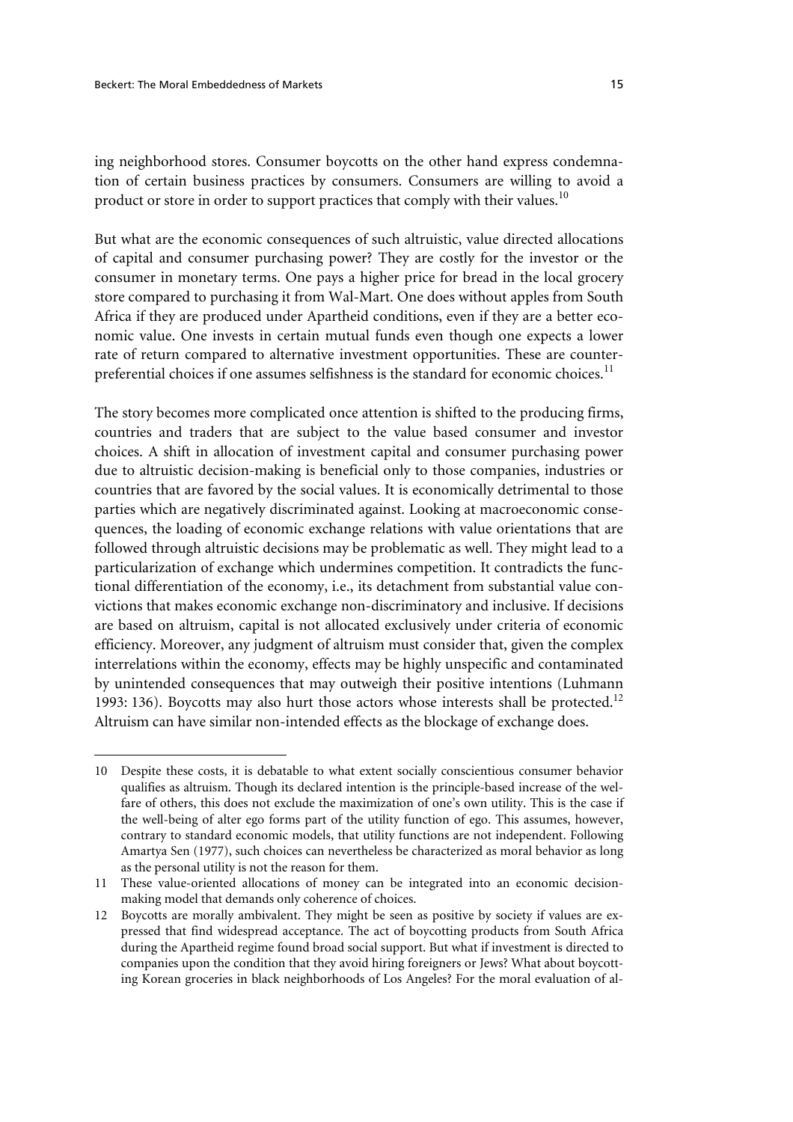<sup>-</sup>

ing neighborhood stores. Consumer boycotts on the other hand express condemna-

tion of certain business practices by consumers. Consumers are willing to avoid a product or store in order to support practices that comply with their values.<sup>10</sup>

But what are the economic consequences of such altruistic, value directed allocations of capital and consumer purchasing power? They are costly for the investor or the consumer in monetary terms. One pays a higher price for bread in the local grocery store compared to purchasing it from Wal-Mart. One does without apples from South Africa if they are produced under Apartheid conditions, even if they are a better economic value. One invests in certain mutual funds even though one expects a lower rate of return compared to alternative investment opportunities. These are counterpreferential choices if one assumes selfishness is the standard for economic choices.<sup>11</sup>

The story becomes more complicated once attention is shifted to the producing firms, countries and traders that are subject to the value based consumer and investor choices. A shift in allocation of investment capital and consumer purchasing power due to altruistic decision-making is beneficial only to those companies, industries or countries that are favored by the social values. It is economically detrimental to those parties which are negatively discriminated against. Looking at macroeconomic consequences, the loading of economic exchange relations with value orientations that are followed through altruistic decisions may be problematic as well. They might lead to a particularization of exchange which undermines competition. It contradicts the functional differentiation of the economy, i.e., its detachment from substantial value convictions that makes economic exchange non-discriminatory and inclusive. If decisions are based on altruism, capital is not allocated exclusively under criteria of economic efficiency. Moreover, any judgment of altruism must consider that, given the complex interrelations within the economy, effects may be highly unspecific and contaminated by unintended consequences that may outweigh their positive intentions (Luhmann 1993: 136). Boycotts may also hurt those actors whose interests shall be protected.<sup>12</sup> Altruism can have similar non-intended effects as the blockage of exchange does.

<sup>10</sup> Despite these costs, it is debatable to what extent socially conscientious consumer behavior qualifies as altruism. Though its declared intention is the principle-based increase of the welfare of others, this does not exclude the maximization of one's own utility. This is the case if the well-being of alter ego forms part of the utility function of ego. This assumes, however, contrary to standard economic models, that utility functions are not independent. Following Amartya Sen (1977), such choices can nevertheless be characterized as moral behavior as long as the personal utility is not the reason for them.

<sup>11</sup> These value-oriented allocations of money can be integrated into an economic decisionmaking model that demands only coherence of choices.

<sup>12</sup> Boycotts are morally ambivalent. They might be seen as positive by society if values are expressed that find widespread acceptance. The act of boycotting products from South Africa during the Apartheid regime found broad social support. But what if investment is directed to companies upon the condition that they avoid hiring foreigners or Jews? What about boycotting Korean groceries in black neighborhoods of Los Angeles? For the moral evaluation of al-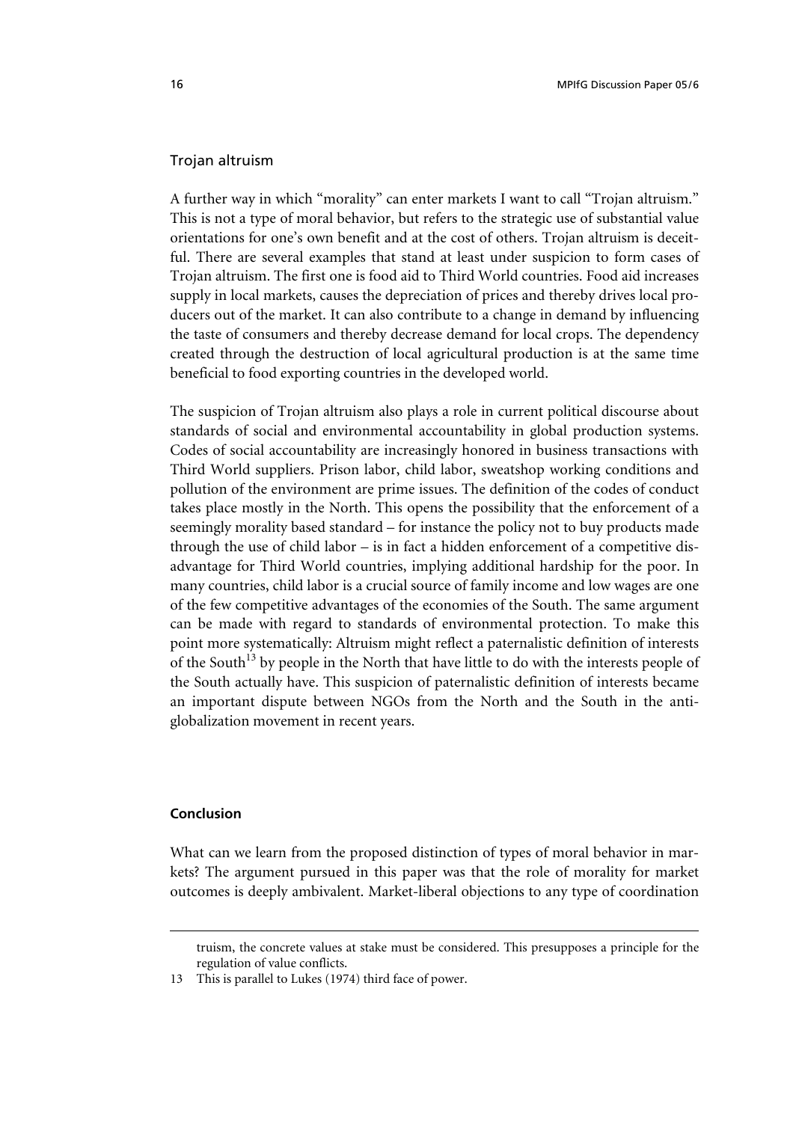### Trojan altruism

A further way in which "morality" can enter markets I want to call "Trojan altruism." This is not a type of moral behavior, but refers to the strategic use of substantial value orientations for one's own benefit and at the cost of others. Trojan altruism is deceitful. There are several examples that stand at least under suspicion to form cases of Trojan altruism. The first one is food aid to Third World countries. Food aid increases supply in local markets, causes the depreciation of prices and thereby drives local producers out of the market. It can also contribute to a change in demand by influencing the taste of consumers and thereby decrease demand for local crops. The dependency created through the destruction of local agricultural production is at the same time beneficial to food exporting countries in the developed world.

The suspicion of Trojan altruism also plays a role in current political discourse about standards of social and environmental accountability in global production systems. Codes of social accountability are increasingly honored in business transactions with Third World suppliers. Prison labor, child labor, sweatshop working conditions and pollution of the environment are prime issues. The definition of the codes of conduct takes place mostly in the North. This opens the possibility that the enforcement of a seemingly morality based standard – for instance the policy not to buy products made through the use of child labor – is in fact a hidden enforcement of a competitive disadvantage for Third World countries, implying additional hardship for the poor. In many countries, child labor is a crucial source of family income and low wages are one of the few competitive advantages of the economies of the South. The same argument can be made with regard to standards of environmental protection. To make this point more systematically: Altruism might reflect a paternalistic definition of interests of the South<sup>13</sup> by people in the North that have little to do with the interests people of the South actually have. This suspicion of paternalistic definition of interests became an important dispute between NGOs from the North and the South in the antiglobalization movement in recent years.

### **Conclusion**

<sup>-</sup>

What can we learn from the proposed distinction of types of moral behavior in markets? The argument pursued in this paper was that the role of morality for market outcomes is deeply ambivalent. Market-liberal objections to any type of coordination

truism, the concrete values at stake must be considered. This presupposes a principle for the regulation of value conflicts.

<sup>13</sup> This is parallel to Lukes (1974) third face of power.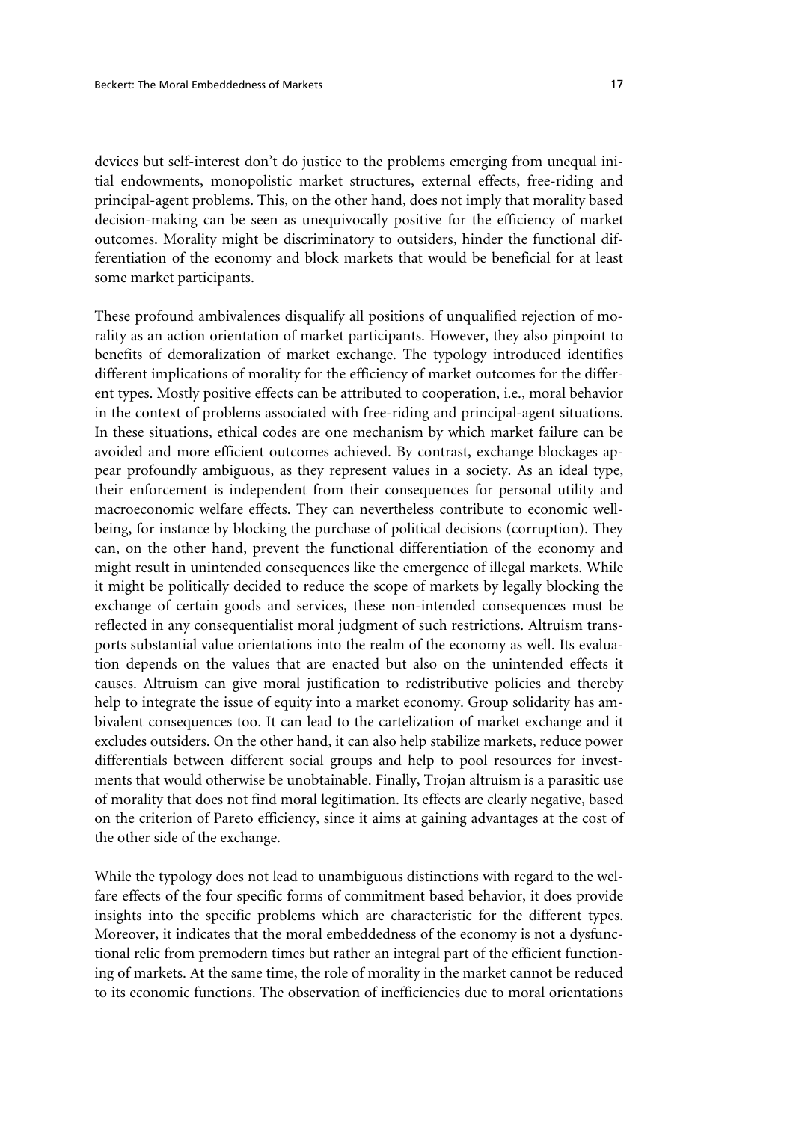devices but self-interest don't do justice to the problems emerging from unequal initial endowments, monopolistic market structures, external effects, free-riding and principal-agent problems. This, on the other hand, does not imply that morality based decision-making can be seen as unequivocally positive for the efficiency of market outcomes. Morality might be discriminatory to outsiders, hinder the functional differentiation of the economy and block markets that would be beneficial for at least some market participants.

These profound ambivalences disqualify all positions of unqualified rejection of morality as an action orientation of market participants. However, they also pinpoint to benefits of demoralization of market exchange. The typology introduced identifies different implications of morality for the efficiency of market outcomes for the different types. Mostly positive effects can be attributed to cooperation, i.e., moral behavior in the context of problems associated with free-riding and principal-agent situations. In these situations, ethical codes are one mechanism by which market failure can be avoided and more efficient outcomes achieved. By contrast, exchange blockages appear profoundly ambiguous, as they represent values in a society. As an ideal type, their enforcement is independent from their consequences for personal utility and macroeconomic welfare effects. They can nevertheless contribute to economic wellbeing, for instance by blocking the purchase of political decisions (corruption). They can, on the other hand, prevent the functional differentiation of the economy and might result in unintended consequences like the emergence of illegal markets. While it might be politically decided to reduce the scope of markets by legally blocking the exchange of certain goods and services, these non-intended consequences must be reflected in any consequentialist moral judgment of such restrictions. Altruism transports substantial value orientations into the realm of the economy as well. Its evaluation depends on the values that are enacted but also on the unintended effects it causes. Altruism can give moral justification to redistributive policies and thereby help to integrate the issue of equity into a market economy. Group solidarity has ambivalent consequences too. It can lead to the cartelization of market exchange and it excludes outsiders. On the other hand, it can also help stabilize markets, reduce power differentials between different social groups and help to pool resources for investments that would otherwise be unobtainable. Finally, Trojan altruism is a parasitic use of morality that does not find moral legitimation. Its effects are clearly negative, based on the criterion of Pareto efficiency, since it aims at gaining advantages at the cost of the other side of the exchange.

While the typology does not lead to unambiguous distinctions with regard to the welfare effects of the four specific forms of commitment based behavior, it does provide insights into the specific problems which are characteristic for the different types. Moreover, it indicates that the moral embeddedness of the economy is not a dysfunctional relic from premodern times but rather an integral part of the efficient functioning of markets. At the same time, the role of morality in the market cannot be reduced to its economic functions. The observation of inefficiencies due to moral orientations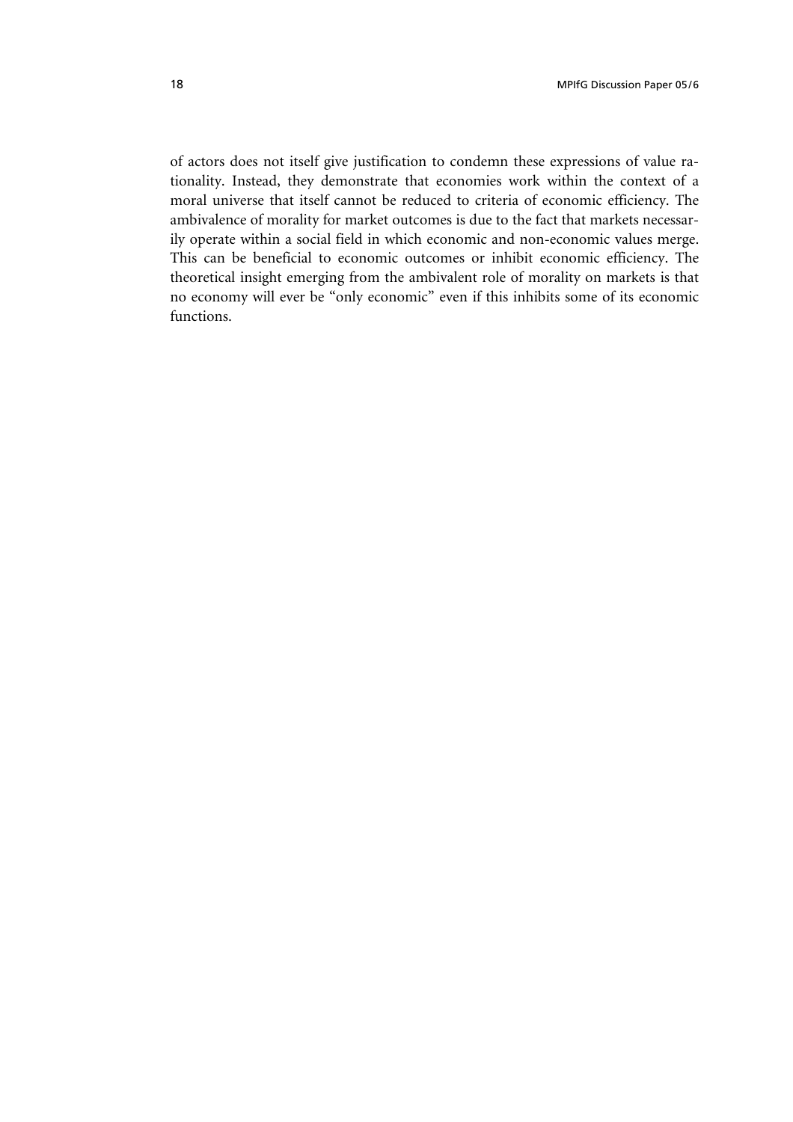of actors does not itself give justification to condemn these expressions of value rationality. Instead, they demonstrate that economies work within the context of a moral universe that itself cannot be reduced to criteria of economic efficiency. The ambivalence of morality for market outcomes is due to the fact that markets necessarily operate within a social field in which economic and non-economic values merge. This can be beneficial to economic outcomes or inhibit economic efficiency. The theoretical insight emerging from the ambivalent role of morality on markets is that no economy will ever be "only economic" even if this inhibits some of its economic functions.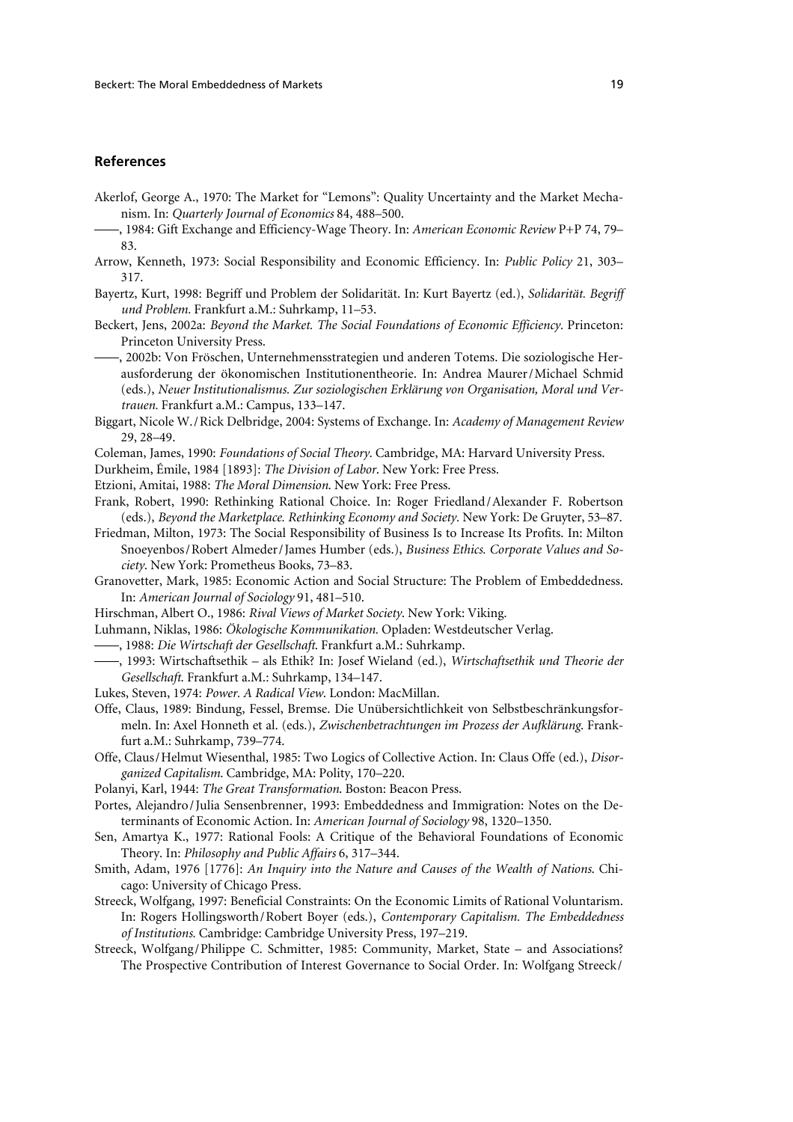### **References**

- Akerlof, George A., 1970: The Market for "Lemons": Quality Uncertainty and the Market Mechanism. In: *Quarterly Journal of Economics* 84, 488–500.<br>-, 1984: Gift Exchange and Efficiency-Wage Theory. In: *American Economic Review* P+P 74, 79–
- 83.
- Arrow, Kenneth, 1973: Social Responsibility and Economic Efficiency. In: *Public Policy* 21, 303– 317.
- Bayertz, Kurt, 1998: Begriff und Problem der Solidarität. In: Kurt Bayertz (ed.), *Solidarität. Begriff und Problem.* Frankfurt a.M.: Suhrkamp, 11–53.
- Beckert, Jens, 2002a: *Beyond the Market. The Social Foundations of Economic Efficiency.* Princeton: Princeton University Press.<br>-, 2002b: Von Fröschen, Unternehmensstrategien und anderen Totems. Die soziologische Her-
- ausforderung der ökonomischen Institutionentheorie. In: Andrea Maurer/Michael Schmid (eds.), *Neuer Institutionalismus. Zur soziologischen Erklärung von Organisation, Moral und Vertrauen.* Frankfurt a.M.: Campus, 133–147.
- Biggart, Nicole W./Rick Delbridge, 2004: Systems of Exchange. In: *Academy of Management Review* 29, 28–49.
- Coleman, James, 1990: *Foundations of Social Theory*. Cambridge, MA: Harvard University Press.
- Durkheim, Émile, 1984 [1893]: *The Division of Labor*. New York: Free Press.
- Etzioni, Amitai, 1988: *The Moral Dimension*. New York: Free Press.
- Frank, Robert, 1990: Rethinking Rational Choice. In: Roger Friedland/Alexander F. Robertson (eds.), *Beyond the Marketplace. Rethinking Economy and Society.* New York: De Gruyter, 53–87.
- Friedman, Milton, 1973: The Social Responsibility of Business Is to Increase Its Profits. In: Milton Snoeyenbos/Robert Almeder/James Humber (eds.), *Business Ethics. Corporate Values and Society*. New York: Prometheus Books, 73–83.
- Granovetter, Mark, 1985: Economic Action and Social Structure: The Problem of Embeddedness. In: *American Journal of Sociology* 91, 481–510.
- Hirschman, Albert O., 1986: *Rival Views of Market Society*. New York: Viking.
- 
- 
- Luhmann, Niklas, 1986: Ökologische Kommunikation. Opladen: Westdeutscher Verlag.<br>——, 1988: *Die Wirtschaft der Gesellschaft*. Frankfurt a.M.: Suhrkamp.<br>——, 1993: Wirtschaftsethik als Ethik? In: Josef Wieland (ed.), *Wirt Gesellschaft*. Frankfurt a.M.: Suhrkamp, 134–147.
- Lukes, Steven, 1974: *Power. A Radical View*. London: MacMillan.
- Offe, Claus, 1989: Bindung, Fessel, Bremse. Die Unübersichtlichkeit von Selbstbeschränkungsformeln. In: Axel Honneth et al. (eds.), *Zwischenbetrachtungen im Prozess der Aufklärung*. Frankfurt a.M.: Suhrkamp, 739–774.
- Offe, Claus/Helmut Wiesenthal, 1985: Two Logics of Collective Action. In: Claus Offe (ed.), *Disorganized Capitalism*. Cambridge, MA: Polity, 170–220.
- Polanyi, Karl, 1944: *The Great Transformation*. Boston: Beacon Press.
- Portes, Alejandro/Julia Sensenbrenner, 1993: Embeddedness and Immigration: Notes on the Determinants of Economic Action. In: *American Journal of Sociology* 98, 1320–1350.
- Sen, Amartya K., 1977: Rational Fools: A Critique of the Behavioral Foundations of Economic Theory. In: *Philosophy and Public Affairs* 6, 317–344.
- Smith, Adam, 1976 [1776]: *An Inquiry into the Nature and Causes of the Wealth of Nations*. Chicago: University of Chicago Press.
- Streeck, Wolfgang, 1997: Beneficial Constraints: On the Economic Limits of Rational Voluntarism. In: Rogers Hollingsworth/Robert Boyer (eds.), *Contemporary Capitalism. The Embeddedness of Institutions.* Cambridge: Cambridge University Press, 197–219.
- Streeck, Wolfgang/Philippe C. Schmitter, 1985: Community, Market, State and Associations? The Prospective Contribution of Interest Governance to Social Order. In: Wolfgang Streeck/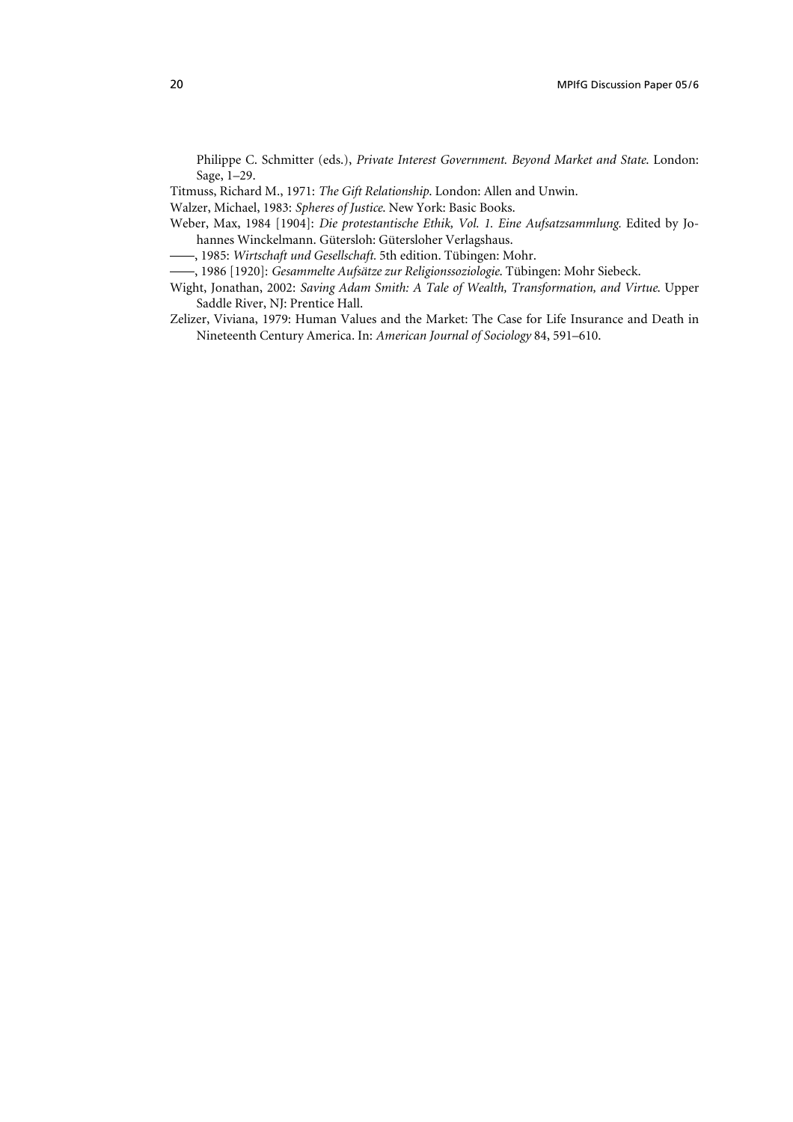Philippe C. Schmitter (eds.), *Private Interest Government. Beyond Market and State*. London: Sage, 1–29.

Titmuss, Richard M., 1971: *The Gift Relationship*. London: Allen and Unwin.

Walzer, Michael, 1983: *Spheres of Justice*. New York: Basic Books.

Weber, Max, 1984 [1904]: *Die protestantische Ethik, Vol. 1. Eine Aufsatzsammlung.* Edited by Johannes Winckelmann. Gütersloh: Gütersloher Verlagshaus.<br>-----, 1985: *Wirtschaft und Gesellschaft.* 5th edition. Tübingen: Mohr.<br>----, 1986 [1920]: *Gesammelte Aufsätze zur Religionssoziologie*. Tübingen: Mohr Siebeck.

- 
- Wight, Jonathan, 2002: *Saving Adam Smith: A Tale of Wealth, Transformation, and Virtue*. Upper Saddle River, NJ: Prentice Hall.
- Zelizer, Viviana, 1979: Human Values and the Market: The Case for Life Insurance and Death in Nineteenth Century America. In: *American Journal of Sociology* 84, 591–610.